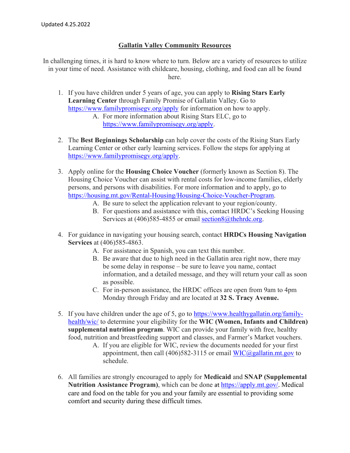## **Gallatin Valley Community Resources**

In challenging times, it is hard to know where to turn. Below are a variety of resources to utilize in your time of need. Assistance with childcare, housing, clothing, and food can all be found here.

- 1. If you have children under 5 years of age, you can apply to **Rising Stars Early Learning Center** through Family Promise of Gallatin Valley. Go to <https://www.familypromisegv.org/apply> for information on how to apply.
	- A. For more information about Rising Stars ELC, go to [https://www.familypromisegv.org/apply.](https://www.familypromisegv.org/apply)
- 2. The **Best Beginnings Scholarship** can help cover the costs of the Rising Stars Early Learning Center or other early learning services. Follow the steps for applying at [https://www.familypromisegv.org/apply.](https://www.familypromisegv.org/apply)
- 3. Apply online for the **Housing Choice Voucher** (formerly known as Section 8). The Housing Choice Voucher can assist with rental costs for low-income families, elderly persons, and persons with disabilities. For more information and to apply, go to [https://housing.mt.gov/Rental-Housing/Housing-Choice-Voucher-Program.](https://housing.mt.gov/Rental-Housing/Housing-Choice-Voucher-Program)
	- A. Be sure to select the application relevant to your region/county.
	- B. For questions and assistance with this, contact HRDC's Seeking Housing Services at (406)585-4855 or email [section8@thehrdc.org.](mailto:section8@thehrdc.org)
- 4. For guidance in navigating your housing search, contact **HRDCs Housing Navigation Services** at (406)585-4863.
	- A. For assistance in Spanish, you can text this number.
	- B. Be aware that due to high need in the Gallatin area right now, there may be some delay in response – be sure to leave you name, contact information, and a detailed message, and they will return your call as soon as possible.
	- C. For in-person assistance, the HRDC offices are open from 9am to 4pm Monday through Friday and are located at **32 S. Tracy Avenue.**
- 5. If you have children under the age of 5, go to [https://www.healthygallatin.org/family](https://www.healthygallatin.org/family-health/wic/)[health/wic/](https://www.healthygallatin.org/family-health/wic/) to determine your eligibility for the **WIC (Women, Infants and Children) supplemental nutrition program**. WIC can provide your family with free, healthy food, nutrition and breastfeeding support and classes, and Farmer's Market vouchers.
	- A. If you are eligible for WIC, review the documents needed for your first appointment, then call  $(406)582-3115$  or email [WIC@gallatin.mt.gov](mailto:WIC@gallatin.mt.gov) to schedule.
- 6. All families are strongly encouraged to apply for **Medicaid** and **SNAP (Supplemental Nutrition Assistance Program)**, which can be done at <https://apply.mt.gov/>. Medical care and food on the table for you and your family are essential to providing some comfort and security during these difficult times.